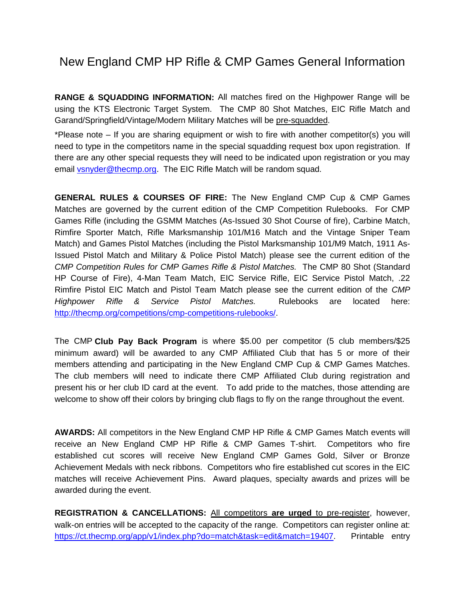## New England CMP HP Rifle & CMP Games General Information

**RANGE & SQUADDING INFORMATION:** All matches fired on the Highpower Range will be using the KTS Electronic Target System. The CMP 80 Shot Matches, EIC Rifle Match and Garand/Springfield/Vintage/Modern Military Matches will be pre-squadded.

\*Please note – If you are sharing equipment or wish to fire with another competitor(s) you will need to type in the competitors name in the special squadding request box upon registration. If there are any other special requests they will need to be indicated upon registration or you may email [vsnyder@thecmp.org.](mailto:vsnyder@thecmp.org) The EIC Rifle Match will be random squad.

**GENERAL RULES & COURSES OF FIRE:** The New England CMP Cup & CMP Games Matches are governed by the current edition of the CMP Competition Rulebooks. For CMP Games Rifle (including the GSMM Matches (As-Issued 30 Shot Course of fire), Carbine Match, Rimfire Sporter Match, Rifle Marksmanship 101/M16 Match and the Vintage Sniper Team Match) and Games Pistol Matches (including the Pistol Marksmanship 101/M9 Match, 1911 As-Issued Pistol Match and Military & Police Pistol Match) please see the current edition of the *CMP Competition Rules for CMP Games Rifle & Pistol Matches.* The CMP 80 Shot (Standard HP Course of Fire), 4-Man Team Match, EIC Service Rifle, EIC Service Pistol Match, .22 Rimfire Pistol EIC Match and Pistol Team Match please see the current edition of the *CMP Highpower Rifle & Service Pistol Matches.* Rulebooks are located here: [http://thecmp.org/competitions/cmp-competitions-rulebooks/.](http://thecmp.org/competitions/cmp-competitions-rulebooks/)

The CMP **Club Pay Back Program** is where \$5.00 per competitor (5 club members/\$25 minimum award) will be awarded to any CMP Affiliated Club that has 5 or more of their members attending and participating in the New England CMP Cup & CMP Games Matches. The club members will need to indicate there CMP Affiliated Club during registration and present his or her club ID card at the event. To add pride to the matches, those attending are welcome to show off their colors by bringing club flags to fly on the range throughout the event.

**AWARDS:** All competitors in the New England CMP HP Rifle & CMP Games Match events will receive an New England CMP HP Rifle & CMP Games T-shirt. Competitors who fire established cut scores will receive New England CMP Games Gold, Silver or Bronze Achievement Medals with neck ribbons. Competitors who fire established cut scores in the EIC matches will receive Achievement Pins. Award plaques, specialty awards and prizes will be awarded during the event.

**REGISTRATION & CANCELLATIONS:** All competitors **are urged** to pre-register, however, walk-on entries will be accepted to the capacity of the range. Competitors can register online at: [https://ct.thecmp.org/app/v1/index.php?do=match&task=edit&match=19407.](https://ct.thecmp.org/app/v1/index.php?do=match&task=edit&match=19407) Printable entry